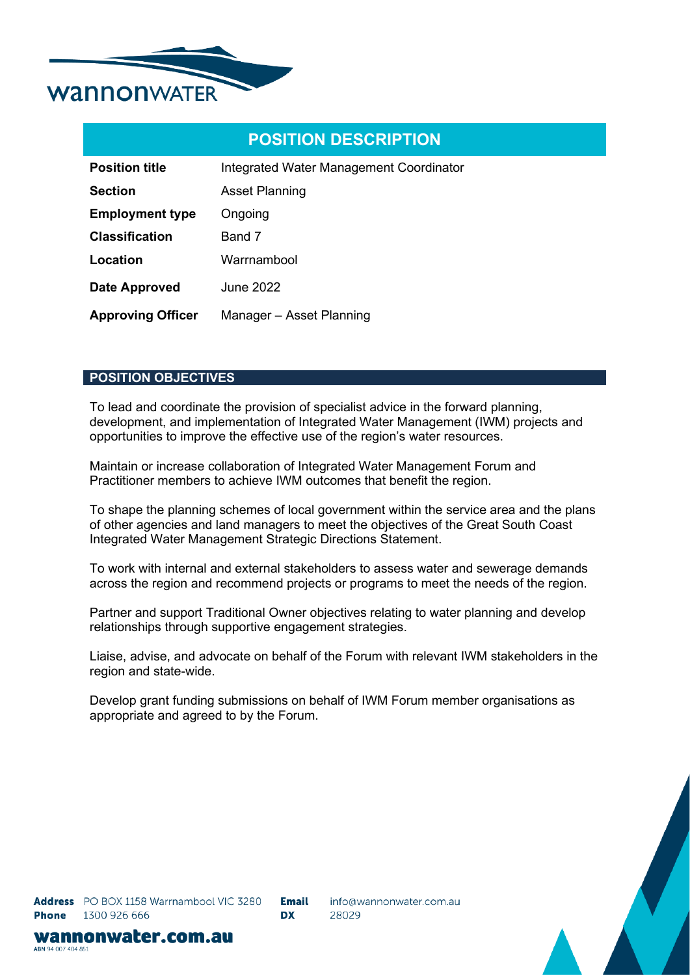

| <b>Position title</b>    | Integrated Water Management Coordinator |  |  |
|--------------------------|-----------------------------------------|--|--|
| <b>Section</b>           | <b>Asset Planning</b>                   |  |  |
| <b>Employment type</b>   | Ongoing                                 |  |  |
| <b>Classification</b>    | Band 7                                  |  |  |
| Location                 | Warrnambool                             |  |  |
| <b>Date Approved</b>     | <b>June 2022</b>                        |  |  |
| <b>Approving Officer</b> | Manager - Asset Planning                |  |  |

## **POSITION OBJECTIVES**

To lead and coordinate the provision of specialist advice in the forward planning, development, and implementation of Integrated Water Management (IWM) projects and opportunities to improve the effective use of the region's water resources.

Maintain or increase collaboration of Integrated Water Management Forum and Practitioner members to achieve IWM outcomes that benefit the region.

To shape the planning schemes of local government within the service area and the plans of other agencies and land managers to meet the objectives of the Great South Coast Integrated Water Management Strategic Directions Statement.

To work with internal and external stakeholders to assess water and sewerage demands across the region and recommend projects or programs to meet the needs of the region.

Partner and support Traditional Owner objectives relating to water planning and develop relationships through supportive engagement strategies.

Liaise, advise, and advocate on behalf of the Forum with relevant IWM stakeholders in the region and state-wide.

Develop grant funding submissions on behalf of IWM Forum member organisations as appropriate and agreed to by the Forum.



wannonwater.com.au ABN 94 007 404 851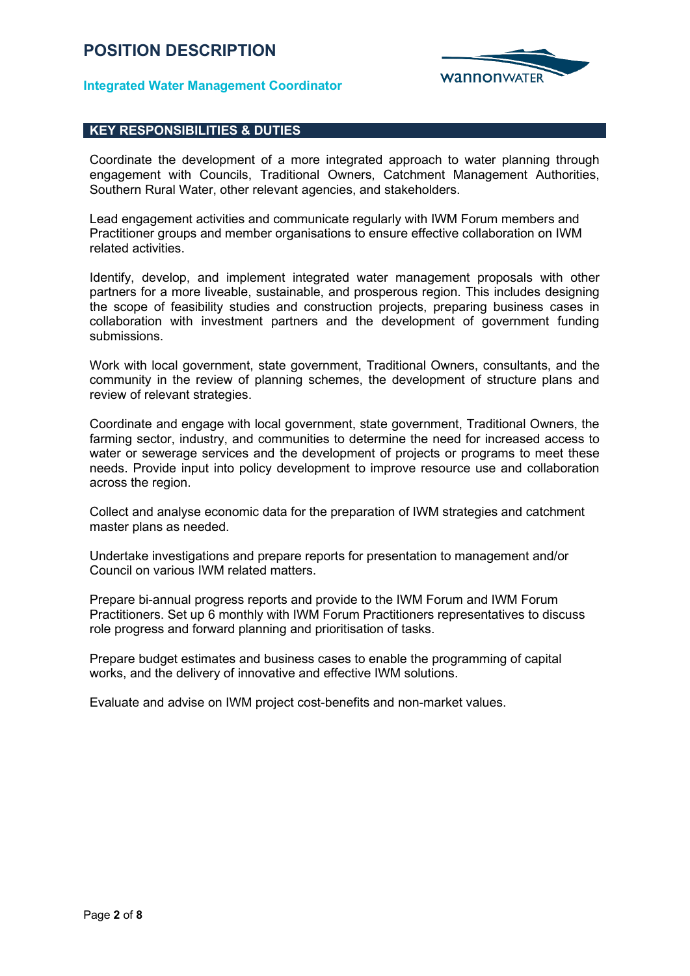

## **Integrated Water Management Coordinator**

## **KEY RESPONSIBILITIES & DUTIES**

Coordinate the development of a more integrated approach to water planning through engagement with Councils, Traditional Owners, Catchment Management Authorities, Southern Rural Water, other relevant agencies, and stakeholders.

Lead engagement activities and communicate regularly with IWM Forum members and Practitioner groups and member organisations to ensure effective collaboration on IWM related activities.

Identify, develop, and implement integrated water management proposals with other partners for a more liveable, sustainable, and prosperous region. This includes designing the scope of feasibility studies and construction projects, preparing business cases in collaboration with investment partners and the development of government funding submissions.

Work with local government, state government, Traditional Owners, consultants, and the community in the review of planning schemes, the development of structure plans and review of relevant strategies.

Coordinate and engage with local government, state government, Traditional Owners, the farming sector, industry, and communities to determine the need for increased access to water or sewerage services and the development of projects or programs to meet these needs. Provide input into policy development to improve resource use and collaboration across the region.

Collect and analyse economic data for the preparation of IWM strategies and catchment master plans as needed.

Undertake investigations and prepare reports for presentation to management and/or Council on various IWM related matters.

Prepare bi-annual progress reports and provide to the IWM Forum and IWM Forum Practitioners. Set up 6 monthly with IWM Forum Practitioners representatives to discuss role progress and forward planning and prioritisation of tasks.

Prepare budget estimates and business cases to enable the programming of capital works, and the delivery of innovative and effective IWM solutions.

Evaluate and advise on IWM project cost-benefits and non-market values.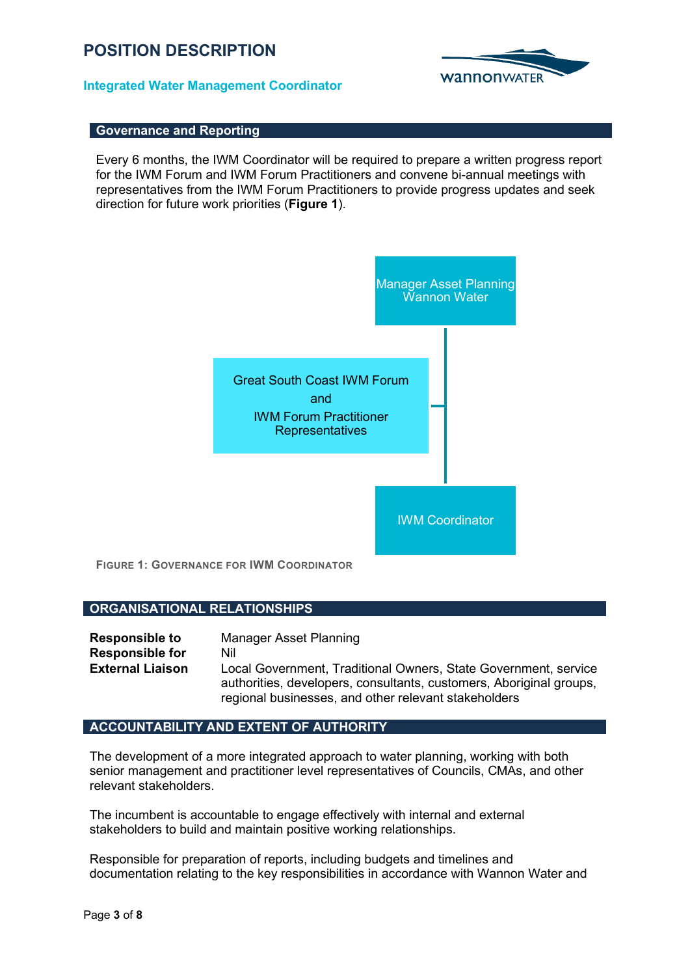## **Integrated Water Management Coordinator**



## **Governance and Reporting**

Every 6 months, the IWM Coordinator will be required to prepare a written progress report for the IWM Forum and IWM Forum Practitioners and convene bi-annual meetings with representatives from the IWM Forum Practitioners to provide progress updates and seek direction for future work priorities (**Figure 1**).



## **ORGANISATIONAL RELATIONSHIPS**

| <b>Responsible to</b>   | Manager Asset Planning                                                                                                      |
|-------------------------|-----------------------------------------------------------------------------------------------------------------------------|
| <b>Responsible for</b>  | Nil                                                                                                                         |
| <b>External Liaison</b> | Local Government, Traditional Owners, State Government, service                                                             |
|                         | authorities, developers, consultants, customers, Aboriginal groups,<br>regional businesses, and other relevant stakeholders |

## **ACCOUNTABILITY AND EXTENT OF AUTHORITY**

The development of a more integrated approach to water planning, working with both senior management and practitioner level representatives of Councils, CMAs, and other relevant stakeholders.

The incumbent is accountable to engage effectively with internal and external stakeholders to build and maintain positive working relationships.

Responsible for preparation of reports, including budgets and timelines and documentation relating to the key responsibilities in accordance with Wannon Water and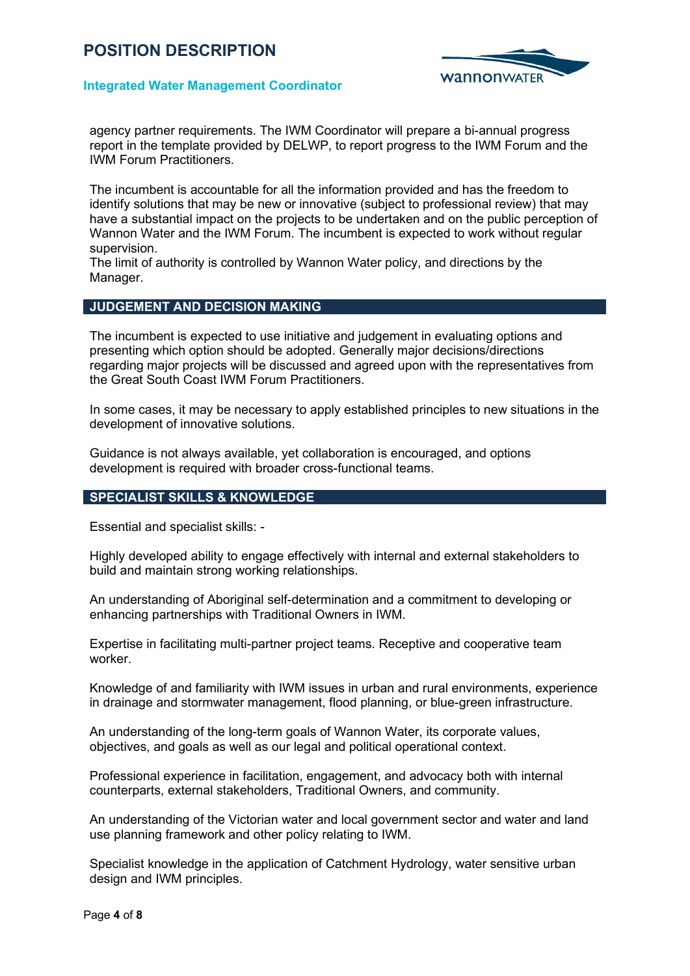

## **Integrated Water Management Coordinator**

agency partner requirements. The IWM Coordinator will prepare a bi-annual progress report in the template provided by DELWP, to report progress to the IWM Forum and the IWM Forum Practitioners.

The incumbent is accountable for all the information provided and has the freedom to identify solutions that may be new or innovative (subject to professional review) that may have a substantial impact on the projects to be undertaken and on the public perception of Wannon Water and the IWM Forum. The incumbent is expected to work without regular supervision.

The limit of authority is controlled by Wannon Water policy, and directions by the Manager.

## **JUDGEMENT AND DECISION MAKING**

The incumbent is expected to use initiative and judgement in evaluating options and presenting which option should be adopted. Generally major decisions/directions regarding major projects will be discussed and agreed upon with the representatives from the Great South Coast IWM Forum Practitioners.

In some cases, it may be necessary to apply established principles to new situations in the development of innovative solutions.

Guidance is not always available, yet collaboration is encouraged, and options development is required with broader cross-functional teams.

## **SPECIALIST SKILLS & KNOWLEDGE**

Essential and specialist skills: -

Highly developed ability to engage effectively with internal and external stakeholders to build and maintain strong working relationships.

An understanding of Aboriginal self-determination and a commitment to developing or enhancing partnerships with Traditional Owners in IWM.

Expertise in facilitating multi-partner project teams. Receptive and cooperative team worker.

Knowledge of and familiarity with IWM issues in urban and rural environments, experience in drainage and stormwater management, flood planning, or blue-green infrastructure.

An understanding of the long-term goals of Wannon Water, its corporate values, objectives, and goals as well as our legal and political operational context.

Professional experience in facilitation, engagement, and advocacy both with internal counterparts, external stakeholders, Traditional Owners, and community.

An understanding of the Victorian water and local government sector and water and land use planning framework and other policy relating to IWM.

Specialist knowledge in the application of Catchment Hydrology, water sensitive urban design and IWM principles.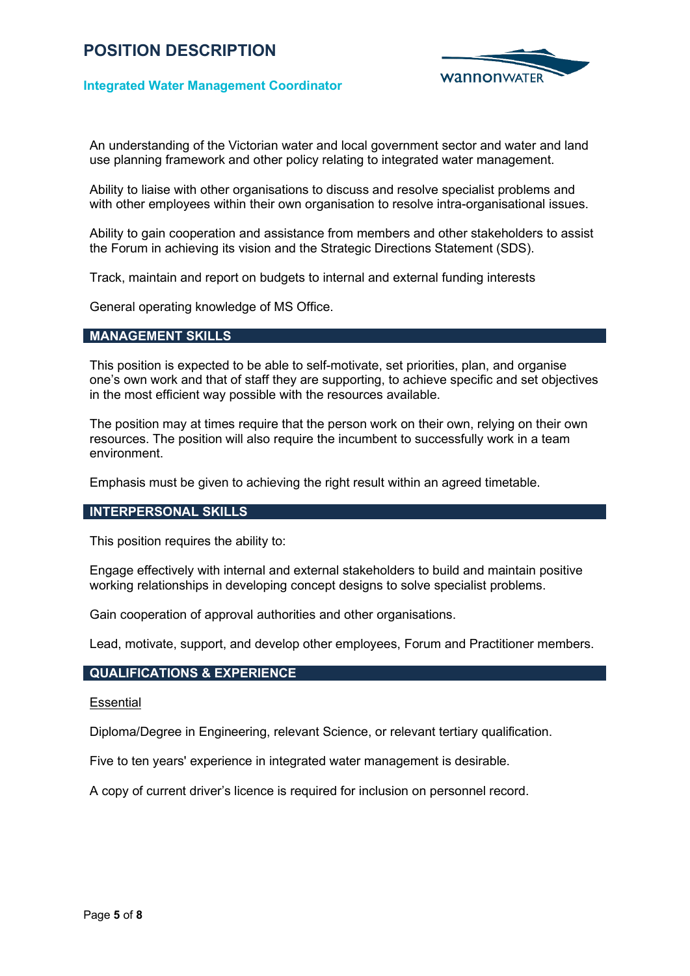

## **Integrated Water Management Coordinator**

An understanding of the Victorian water and local government sector and water and land use planning framework and other policy relating to integrated water management.

Ability to liaise with other organisations to discuss and resolve specialist problems and with other employees within their own organisation to resolve intra-organisational issues.

Ability to gain cooperation and assistance from members and other stakeholders to assist the Forum in achieving its vision and the Strategic Directions Statement (SDS).

Track, maintain and report on budgets to internal and external funding interests

General operating knowledge of MS Office.

## **MANAGEMENT SKILLS**

This position is expected to be able to self-motivate, set priorities, plan, and organise one's own work and that of staff they are supporting, to achieve specific and set objectives in the most efficient way possible with the resources available.

The position may at times require that the person work on their own, relying on their own resources. The position will also require the incumbent to successfully work in a team environment.

Emphasis must be given to achieving the right result within an agreed timetable.

## **INTERPERSONAL SKILLS**

This position requires the ability to:

Engage effectively with internal and external stakeholders to build and maintain positive working relationships in developing concept designs to solve specialist problems.

Gain cooperation of approval authorities and other organisations.

Lead, motivate, support, and develop other employees, Forum and Practitioner members.

## **QUALIFICATIONS & EXPERIENCE**

#### **Essential**

Diploma/Degree in Engineering, relevant Science, or relevant tertiary qualification.

Five to ten years' experience in integrated water management is desirable.

A copy of current driver's licence is required for inclusion on personnel record.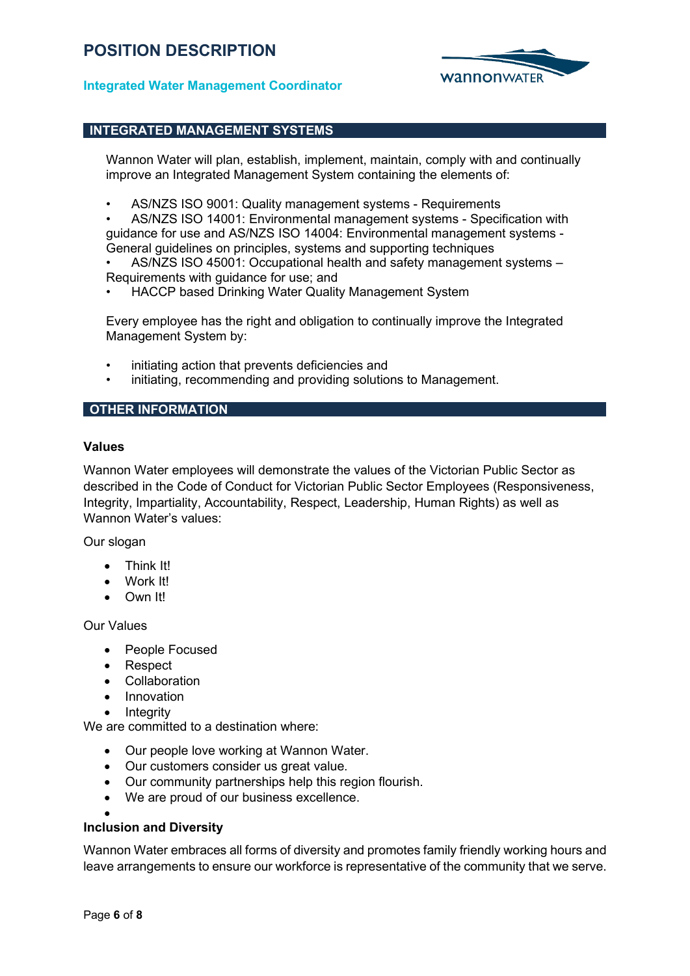

## **Integrated Water Management Coordinator**

## **INTEGRATED MANAGEMENT SYSTEMS**

Wannon Water will plan, establish, implement, maintain, comply with and continually improve an Integrated Management System containing the elements of:

• AS/NZS ISO 9001: Quality management systems - Requirements

• AS/NZS ISO 14001: Environmental management systems - Specification with guidance for use and AS/NZS ISO 14004: Environmental management systems - General guidelines on principles, systems and supporting techniques

• AS/NZS ISO 45001: Occupational health and safety management systems – Requirements with guidance for use; and

• HACCP based Drinking Water Quality Management System

Every employee has the right and obligation to continually improve the Integrated Management System by:

- initiating action that prevents deficiencies and
- initiating, recommending and providing solutions to Management.

## **OTHER INFORMATION**

#### **Values**

Wannon Water employees will demonstrate the values of the Victorian Public Sector as described in the Code of Conduct for Victorian Public Sector Employees (Responsiveness, Integrity, Impartiality, Accountability, Respect, Leadership, Human Rights) as well as Wannon Water's values:

Our slogan

- Think It!
- Work It!
- Own It!

Our Values

- People Focused
- Respect
- Collaboration
- Innovation
- **Integrity**

We are committed to a destination where:

- Our people love working at Wannon Water.
- Our customers consider us great value.
- Our community partnerships help this region flourish.
- We are proud of our business excellence.

#### • **Inclusion and Diversity**

Wannon Water embraces all forms of diversity and promotes family friendly working hours and leave arrangements to ensure our workforce is representative of the community that we serve.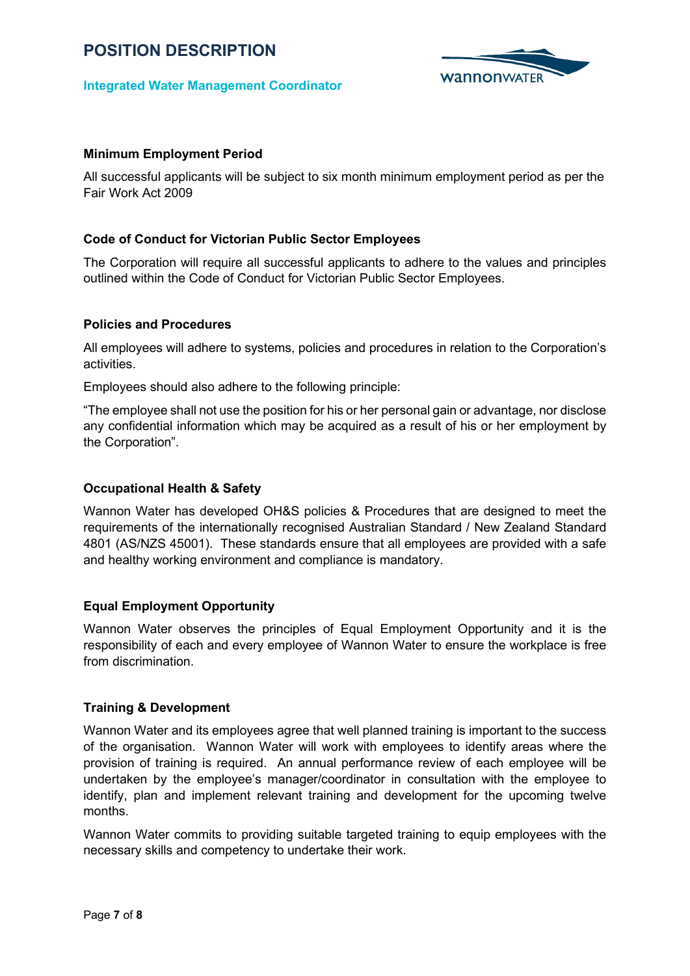

## **Integrated Water Management Coordinator**

## **Minimum Employment Period**

All successful applicants will be subject to six month minimum employment period as per the Fair Work Act 2009

## **Code of Conduct for Victorian Public Sector Employees**

The Corporation will require all successful applicants to adhere to the values and principles outlined within the Code of Conduct for Victorian Public Sector Employees.

## **Policies and Procedures**

All employees will adhere to systems, policies and procedures in relation to the Corporation's activities.

Employees should also adhere to the following principle:

"The employee shall not use the position for his or her personal gain or advantage, nor disclose any confidential information which may be acquired as a result of his or her employment by the Corporation".

## **Occupational Health & Safety**

Wannon Water has developed OH&S policies & Procedures that are designed to meet the requirements of the internationally recognised Australian Standard / New Zealand Standard 4801 (AS/NZS 45001). These standards ensure that all employees are provided with a safe and healthy working environment and compliance is mandatory.

## **Equal Employment Opportunity**

Wannon Water observes the principles of Equal Employment Opportunity and it is the responsibility of each and every employee of Wannon Water to ensure the workplace is free from discrimination.

## **Training & Development**

Wannon Water and its employees agree that well planned training is important to the success of the organisation. Wannon Water will work with employees to identify areas where the provision of training is required. An annual performance review of each employee will be undertaken by the employee's manager/coordinator in consultation with the employee to identify, plan and implement relevant training and development for the upcoming twelve months.

Wannon Water commits to providing suitable targeted training to equip employees with the necessary skills and competency to undertake their work.